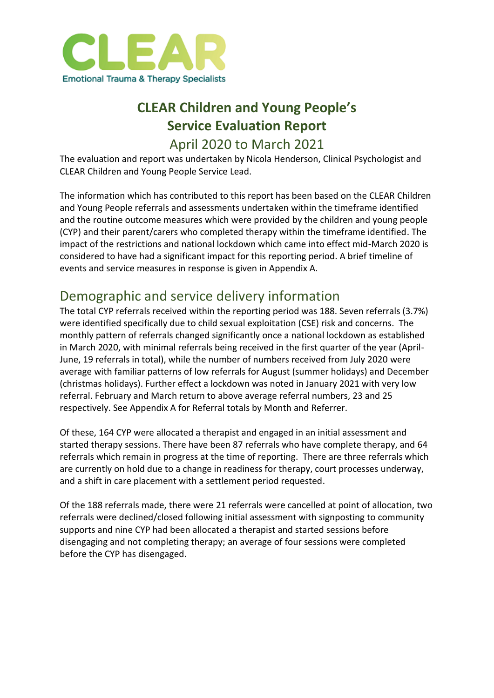

## **CLEAR Children and Young People's Service Evaluation Report** April 2020 to March 2021

The evaluation and report was undertaken by Nicola Henderson, Clinical Psychologist and CLEAR Children and Young People Service Lead.

The information which has contributed to this report has been based on the CLEAR Children and Young People referrals and assessments undertaken within the timeframe identified and the routine outcome measures which were provided by the children and young people (CYP) and their parent/carers who completed therapy within the timeframe identified. The impact of the restrictions and national lockdown which came into effect mid-March 2020 is considered to have had a significant impact for this reporting period. A brief timeline of events and service measures in response is given in Appendix A.

## Demographic and service delivery information

The total CYP referrals received within the reporting period was 188. Seven referrals (3.7%) were identified specifically due to child sexual exploitation (CSE) risk and concerns. The monthly pattern of referrals changed significantly once a national lockdown as established in March 2020, with minimal referrals being received in the first quarter of the year (April-June, 19 referrals in total), while the number of numbers received from July 2020 were average with familiar patterns of low referrals for August (summer holidays) and December (christmas holidays). Further effect a lockdown was noted in January 2021 with very low referral. February and March return to above average referral numbers, 23 and 25 respectively. See Appendix A for Referral totals by Month and Referrer.

Of these, 164 CYP were allocated a therapist and engaged in an initial assessment and started therapy sessions. There have been 87 referrals who have complete therapy, and 64 referrals which remain in progress at the time of reporting. There are three referrals which are currently on hold due to a change in readiness for therapy, court processes underway, and a shift in care placement with a settlement period requested.

Of the 188 referrals made, there were 21 referrals were cancelled at point of allocation, two referrals were declined/closed following initial assessment with signposting to community supports and nine CYP had been allocated a therapist and started sessions before disengaging and not completing therapy; an average of four sessions were completed before the CYP has disengaged.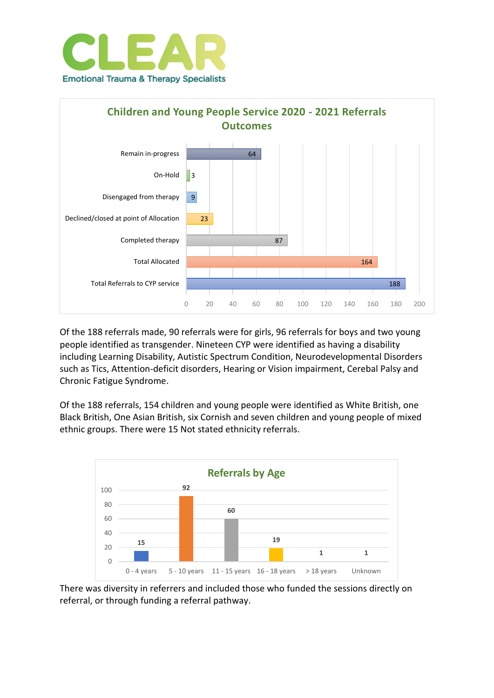



Of the 188 referrals made, 90 referrals were for girls, 96 referrals for boys and two young people identified as transgender. Nineteen CYP were identified as having a disability including Learning Disability, Autistic Spectrum Condition, Neurodevelopmental Disorders such as Tics, Attention-deficit disorders, Hearing or Vision impairment, Cerebal Palsy and Chronic Fatigue Syndrome.

Of the 188 referrals, 154 children and young people were identified as White British, one Black British, One Asian British, six Cornish and seven children and young people of mixed ethnic groups. There were 15 Not stated ethnicity referrals.



There was diversity in referrers and included those who funded the sessions directly on referral, or through funding a referral pathway.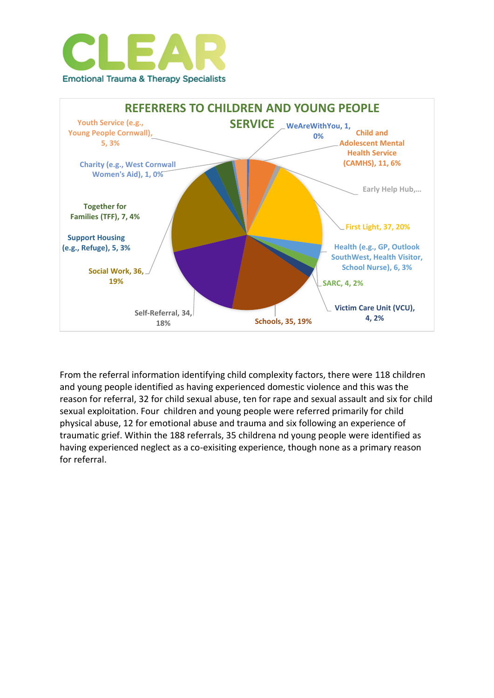



From the referral information identifying child complexity factors, there were 118 children and young people identified as having experienced domestic violence and this was the reason for referral, 32 for child sexual abuse, ten for rape and sexual assault and six for child sexual exploitation. Four children and young people were referred primarily for child physical abuse, 12 for emotional abuse and trauma and six following an experience of traumatic grief. Within the 188 referrals, 35 childrena nd young people were identified as having experienced neglect as a co-exisiting experience, though none as a primary reason for referral.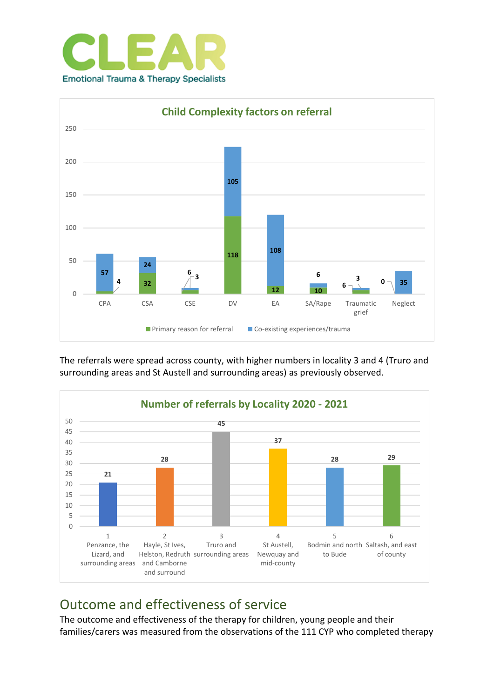



The referrals were spread across county, with higher numbers in locality 3 and 4 (Truro and surrounding areas and St Austell and surrounding areas) as previously observed.



### Outcome and effectiveness of service

The outcome and effectiveness of the therapy for children, young people and their families/carers was measured from the observations of the 111 CYP who completed therapy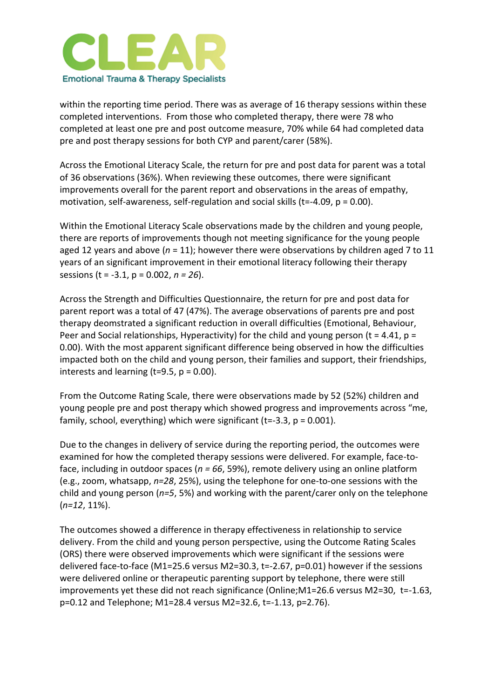

within the reporting time period. There was as average of 16 therapy sessions within these completed interventions. From those who completed therapy, there were 78 who completed at least one pre and post outcome measure, 70% while 64 had completed data pre and post therapy sessions for both CYP and parent/carer (58%).

Across the Emotional Literacy Scale, the return for pre and post data for parent was a total of 36 observations (36%). When reviewing these outcomes, there were significant improvements overall for the parent report and observations in the areas of empathy, motivation, self-awareness, self-regulation and social skills ( $t = -4.09$ ,  $p = 0.00$ ).

Within the Emotional Literacy Scale observations made by the children and young people, there are reports of improvements though not meeting significance for the young people aged 12 years and above (*n* = 11); however there were observations by children aged 7 to 11 years of an significant improvement in their emotional literacy following their therapy sessions (t = -3.1, p = 0.002, *n = 26*).

Across the Strength and Difficulties Questionnaire, the return for pre and post data for parent report was a total of 47 (47%). The average observations of parents pre and post therapy deomstrated a significant reduction in overall difficulties (Emotional, Behaviour, Peer and Social relationships, Hyperactivity) for the child and young person (t = 4.41, p = 0.00). With the most apparent significant difference being observed in how the difficulties impacted both on the child and young person, their families and support, their friendships, interests and learning ( $t=9.5$ ,  $p = 0.00$ ).

From the Outcome Rating Scale, there were observations made by 52 (52%) children and young people pre and post therapy which showed progress and improvements across "me, family, school, everything) which were significant (t=-3.3,  $p = 0.001$ ).

Due to the changes in delivery of service during the reporting period, the outcomes were examined for how the completed therapy sessions were delivered. For example, face-toface, including in outdoor spaces (*n = 66*, 59%), remote delivery using an online platform (e.g., zoom, whatsapp, *n=28*, 25%), using the telephone for one-to-one sessions with the child and young person (*n=5*, 5%) and working with the parent/carer only on the telephone (*n=12*, 11%).

The outcomes showed a difference in therapy effectiveness in relationship to service delivery. From the child and young person perspective, using the Outcome Rating Scales (ORS) there were observed improvements which were significant if the sessions were delivered face-to-face (M1=25.6 versus M2=30.3, t=-2.67, p=0.01) however if the sessions were delivered online or therapeutic parenting support by telephone, there were still improvements yet these did not reach significance (Online;M1=26.6 versus M2=30, t=-1.63, p=0.12 and Telephone; M1=28.4 versus M2=32.6, t=-1.13, p=2.76).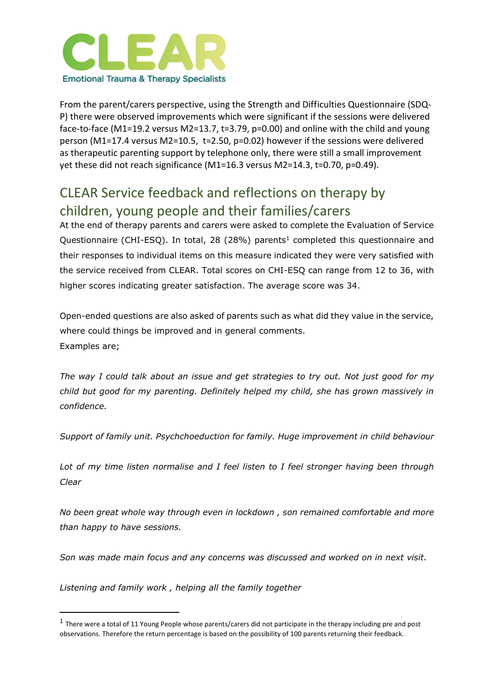

From the parent/carers perspective, using the Strength and Difficulties Questionnaire (SDQ-P) there were observed improvements which were significant if the sessions were delivered face-to-face (M1=19.2 versus M2=13.7, t=3.79, p=0.00) and online with the child and young person (M1=17.4 versus M2=10.5, t=2.50, p=0.02) however if the sessions were delivered as therapeutic parenting support by telephone only, there were still a small improvement yet these did not reach significance (M1=16.3 versus M2=14.3, t=0.70, p=0.49).

### CLEAR Service feedback and reflections on therapy by children, young people and their families/carers

At the end of therapy parents and carers were asked to complete the Evaluation of Service Questionnaire (CHI-ESQ). In total, 28 (28%) parents<sup>1</sup> completed this questionnaire and their responses to individual items on this measure indicated they were very satisfied with the service received from CLEAR. Total scores on CHI-ESQ can range from 12 to 36, with higher scores indicating greater satisfaction. The average score was 34.

Open-ended questions are also asked of parents such as what did they value in the service, where could things be improved and in general comments. Examples are;

*The way I could talk about an issue and get strategies to try out. Not just good for my child but good for my parenting. Definitely helped my child, she has grown massively in confidence.*

*Support of family unit. Psychchoeduction for family. Huge improvement in child behaviour*

*Lot of my time listen normalise and I feel listen to I feel stronger having been through Clear*

*No been great whole way through even in lockdown , son remained comfortable and more than happy to have sessions.* 

*Son was made main focus and any concerns was discussed and worked on in next visit.*

*Listening and family work , helping all the family together*

 $<sup>1</sup>$  There were a total of 11 Young People whose parents/carers did not participate in the therapy including pre and post</sup> observations. Therefore the return percentage is based on the possibility of 100 parents returning their feedback.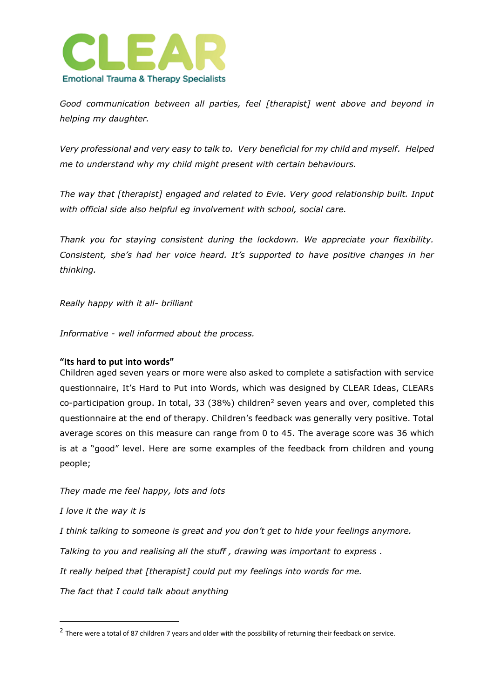

*Good communication between all parties, feel [therapist] went above and beyond in helping my daughter.*

*Very professional and very easy to talk to. Very beneficial for my child and myself. Helped me to understand why my child might present with certain behaviours.*

*The way that [therapist] engaged and related to Evie. Very good relationship built. Input with official side also helpful eg involvement with school, social care.*

*Thank you for staying consistent during the lockdown. We appreciate your flexibility. Consistent, she's had her voice heard. It's supported to have positive changes in her thinking.*

*Really happy with it all- brilliant*

*Informative - well informed about the process.*

#### **"Its hard to put into words"**

Children aged seven years or more were also asked to complete a satisfaction with service questionnaire, It's Hard to Put into Words, which was designed by CLEAR Ideas, CLEARs co-participation group. In total, 33 (38%) children<sup>2</sup> seven years and over, completed this questionnaire at the end of therapy. Children's feedback was generally very positive. Total average scores on this measure can range from 0 to 45. The average score was 36 which is at a "good" level. Here are some examples of the feedback from children and young people;

*They made me feel happy, lots and lots*

*I love it the way it is*

*I think talking to someone is great and you don't get to hide your feelings anymore.*

*Talking to you and realising all the stuff , drawing was important to express .*

*It really helped that [therapist] could put my feelings into words for me.*

*The fact that I could talk about anything*

<sup>&</sup>lt;sup>2</sup> There were a total of 87 children 7 years and older with the possibility of returning their feedback on service.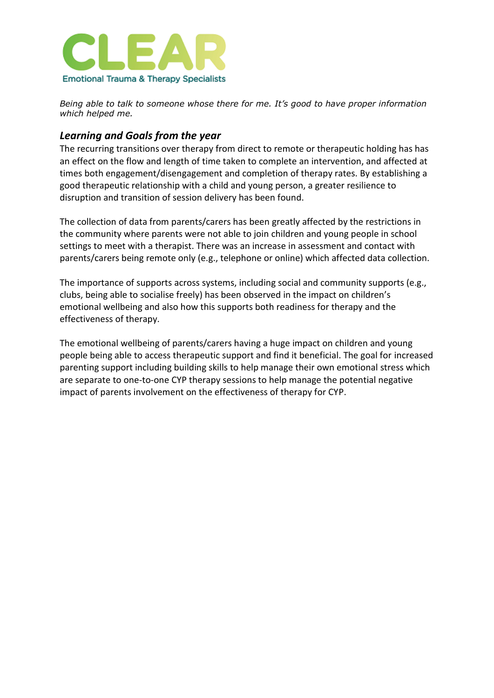

*Being able to talk to someone whose there for me. It's good to have proper information which helped me.*

#### *Learning and Goals from the year*

The recurring transitions over therapy from direct to remote or therapeutic holding has has an effect on the flow and length of time taken to complete an intervention, and affected at times both engagement/disengagement and completion of therapy rates. By establishing a good therapeutic relationship with a child and young person, a greater resilience to disruption and transition of session delivery has been found.

The collection of data from parents/carers has been greatly affected by the restrictions in the community where parents were not able to join children and young people in school settings to meet with a therapist. There was an increase in assessment and contact with parents/carers being remote only (e.g., telephone or online) which affected data collection.

The importance of supports across systems, including social and community supports (e.g., clubs, being able to socialise freely) has been observed in the impact on children's emotional wellbeing and also how this supports both readiness for therapy and the effectiveness of therapy.

The emotional wellbeing of parents/carers having a huge impact on children and young people being able to access therapeutic support and find it beneficial. The goal for increased parenting support including building skills to help manage their own emotional stress which are separate to one-to-one CYP therapy sessions to help manage the potential negative impact of parents involvement on the effectiveness of therapy for CYP.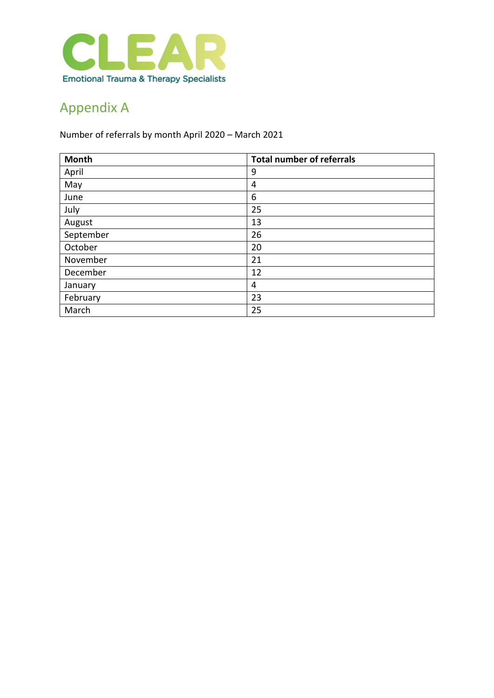

# Appendix A

Number of referrals by month April 2020 – March 2021

| Month     | <b>Total number of referrals</b> |
|-----------|----------------------------------|
| April     | 9                                |
| May       | 4                                |
| June      | 6                                |
| July      | 25                               |
| August    | 13                               |
| September | 26                               |
| October   | 20                               |
| November  | 21                               |
| December  | 12                               |
| January   | 4                                |
| February  | 23                               |
| March     | 25                               |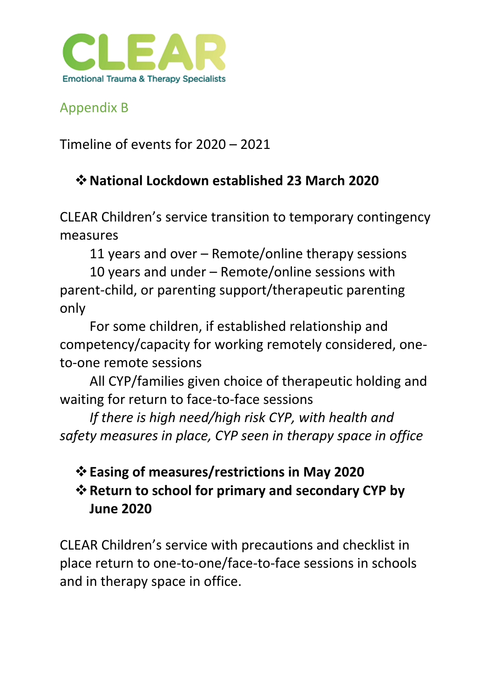

Appendix B

Timeline of events for 2020 – 2021

## ❖**National Lockdown established 23 March 2020**

CLEAR Children's service transition to temporary contingency measures

11 years and over – Remote/online therapy sessions

10 years and under – Remote/online sessions with parent-child, or parenting support/therapeutic parenting only

For some children, if established relationship and competency/capacity for working remotely considered, oneto-one remote sessions

All CYP/families given choice of therapeutic holding and waiting for return to face-to-face sessions

*If there is high need/high risk CYP, with health and safety measures in place, CYP seen in therapy space in office*

# ❖**Easing of measures/restrictions in May 2020** ❖**Return to school for primary and secondary CYP by June 2020**

CLEAR Children's service with precautions and checklist in place return to one-to-one/face-to-face sessions in schools and in therapy space in office.